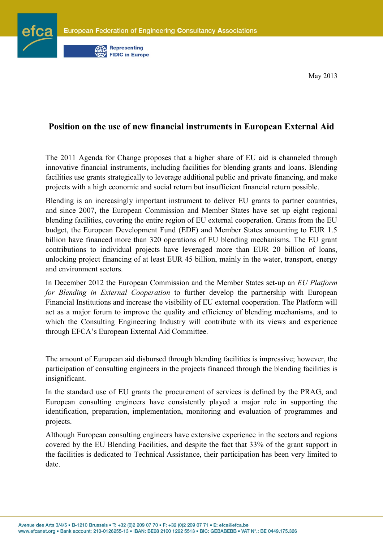

May 2013

## **Position on the use of new financial instruments in European External Aid**

The 2011 Agenda for Change proposes that a higher share of EU aid is channeled through innovative financial instruments, including facilities for blending grants and loans. Blending facilities use grants strategically to leverage additional public and private financing, and make projects with a high economic and social return but insufficient financial return possible.

Blending is an increasingly important instrument to deliver EU grants to partner countries, and since 2007, the European Commission and Member States have set up eight regional blending facilities, covering the entire region of EU external cooperation. Grants from the EU budget, the European Development Fund (EDF) and Member States amounting to EUR 1.5 billion have financed more than 320 operations of EU blending mechanisms. The EU grant contributions to individual projects have leveraged more than EUR 20 billion of loans, unlocking project financing of at least EUR 45 billion, mainly in the water, transport, energy and environment sectors.

In December 2012 the European Commission and the Member States set-up an *EU Platform for Blending in External Cooperation* to further develop the partnership with European Financial Institutions and increase the visibility of EU external cooperation. The Platform will act as a major forum to improve the quality and efficiency of blending mechanisms, and to which the Consulting Engineering Industry will contribute with its views and experience through EFCA's European External Aid Committee.

The amount of European aid disbursed through blending facilities is impressive; however, the participation of consulting engineers in the projects financed through the blending facilities is insignificant.

In the standard use of EU grants the procurement of services is defined by the PRAG, and European consulting engineers have consistently played a major role in supporting the identification, preparation, implementation, monitoring and evaluation of programmes and projects.

Although European consulting engineers have extensive experience in the sectors and regions covered by the EU Blending Facilities, and despite the fact that 33% of the grant support in the facilities is dedicated to Technical Assistance, their participation has been very limited to date.